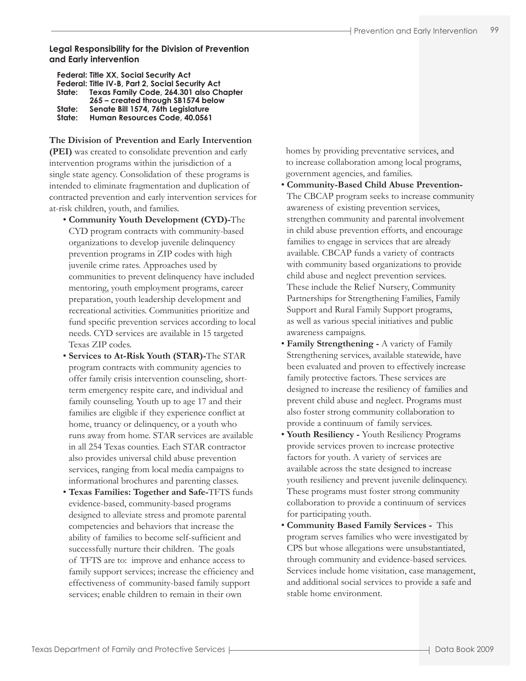### **Legal Responsibility for the Division of Prevention and Early intervention**

|        | <b>Federal: Title XX, Social Security Act</b>    |
|--------|--------------------------------------------------|
|        | Federal: Title IV-B, Part 2, Social Security Act |
| State: | Texas Family Code, 264.301 also Chapter          |
|        | 265 - created through SB1574 below               |
| State: | Senate Bill 1574, 76th Legislature               |
| State: | Human Resources Code, 40.0561                    |
|        |                                                  |

**The Division of Prevention and Early Intervention (PEI)** was created to consolidate prevention and early intervention programs within the jurisdiction of a single state agency. Consolidation of these programs is intended to eliminate fragmentation and duplication of contracted prevention and early intervention services for at-risk children, youth, and families.

- **Community Youth Development (CYD)-**The CYD program contracts with community-based organizations to develop juvenile delinquency prevention programs in ZIP codes with high juvenile crime rates. Approaches used by communities to prevent delinquency have included mentoring, youth employment programs, career preparation, youth leadership development and recreational activities. Communities prioritize and fund specific prevention services according to local needs. CYD services are available in 15 targeted Texas ZIP codes.
- **Services to At-Risk Youth (STAR)-**The STAR program contracts with community agencies to offer family crisis intervention counseling, shortterm emergency respite care, and individual and family counseling. Youth up to age 17 and their families are eligible if they experience conflict at home, truancy or delinquency, or a youth who runs away from home. STAR services are available in all 254 Texas counties. Each STAR contractor also provides universal child abuse prevention services, ranging from local media campaigns to informational brochures and parenting classes.
- **Texas Families: Together and Safe-**TFTS funds evidence-based, community-based programs designed to alleviate stress and promote parental competencies and behaviors that increase the ability of families to become self-sufficient and successfully nurture their children. The goals of TFTS are to: improve and enhance access to family support services; increase the efficiency and effectiveness of community-based family support services; enable children to remain in their own

 homes by providing preventative services, and to increase collaboration among local programs, government agencies, and families.

- **Community-Based Child Abuse Prevention-**The CBCAP program seeks to increase community awareness of existing prevention services, strengthen community and parental involvement in child abuse prevention efforts, and encourage families to engage in services that are already available. CBCAP funds a variety of contracts with community based organizations to provide child abuse and neglect prevention services. These include the Relief Nursery, Community Partnerships for Strengthening Families, Family Support and Rural Family Support programs, as well as various special initiatives and public awareness campaigns.
- **Family Strengthening -** A variety of Family Strengthening services, available statewide, have been evaluated and proven to effectively increase family protective factors. These services are designed to increase the resiliency of families and prevent child abuse and neglect. Programs must also foster strong community collaboration to provide a continuum of family services.
- **Youth Resiliency** Youth Resiliency Programs provide services proven to increase protective factors for youth. A variety of services are available across the state designed to increase youth resiliency and prevent juvenile delinquency. These programs must foster strong community collaboration to provide a continuum of services for participating youth.
- **Community Based Family Services** This program serves families who were investigated by CPS but whose allegations were unsubstantiated, through community and evidence-based services. Services include home visitation, case management, and additional social services to provide a safe and stable home environment.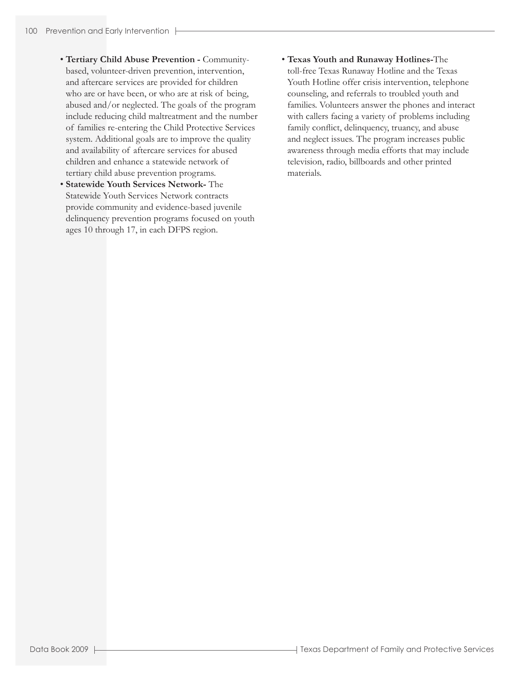- **Tertiary Child Abuse Prevention -** Communitybased, volunteer-driven prevention, intervention, and aftercare services are provided for children who are or have been, or who are at risk of being, abused and/or neglected. The goals of the program include reducing child maltreatment and the number of families re-entering the Child Protective Services system. Additional goals are to improve the quality and availability of aftercare services for abused children and enhance a statewide network of tertiary child abuse prevention programs.
- **Statewide Youth Services Network-** The Statewide Youth Services Network contracts provide community and evidence-based juvenile delinquency prevention programs focused on youth ages 10 through 17, in each DFPS region.
- **Texas Youth and Runaway Hotlines-**The toll-free Texas Runaway Hotline and the Texas Youth Hotline offer crisis intervention, telephone counseling, and referrals to troubled youth and families. Volunteers answer the phones and interact with callers facing a variety of problems including family conflict, delinquency, truancy, and abuse and neglect issues. The program increases public awareness through media efforts that may include television, radio, billboards and other printed materials.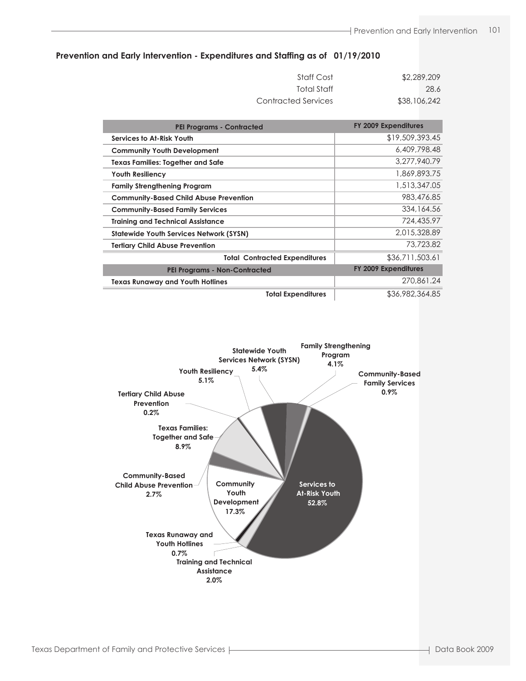### **Prevention and Early Intervention - Expenditures and Staffing as of 01/19/2010**

| Staff Cost          | \$2,289,209  |
|---------------------|--------------|
| Total Staff         | 28.6         |
| Contracted Services | \$38,106,242 |

| <b>PEI Programs - Contracted</b>               | FY 2009 Expenditures        |
|------------------------------------------------|-----------------------------|
| Services to At-Risk Youth                      | \$19,509,393.45             |
| <b>Community Youth Development</b>             | 6,409,798,48                |
| <b>Texas Families: Together and Safe</b>       | 3.277,940.79                |
| <b>Youth Resiliency</b>                        | 1,869,893.75                |
| <b>Family Strengthening Program</b>            | 1,513,347.05                |
| <b>Community-Based Child Abuse Prevention</b>  | 983,476.85                  |
| <b>Community-Based Family Services</b>         | 334, 164.56                 |
| <b>Training and Technical Assistance</b>       | 724,435.97                  |
| <b>Statewide Youth Services Network (SYSN)</b> | 2.015.328.89                |
| <b>Terliary Child Abuse Prevention</b>         | 73,723.82                   |
| <b>Total Contracted Expenditures</b>           | \$36,711,503.61             |
| <b>PEI Programs - Non-Contracted</b>           | <b>FY 2009 Expenditures</b> |
| <b>Texas Runaway and Youth Hotlines</b>        | 270,861.24                  |
| <b>Total Expenditures</b>                      | \$36,982,364.85             |

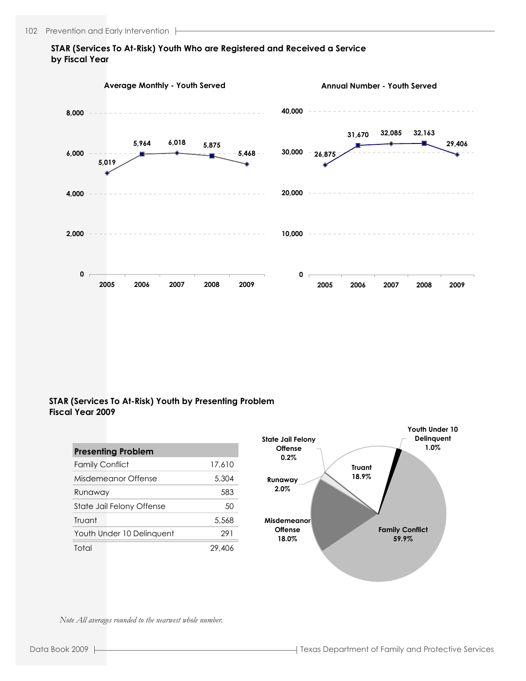## **STAR (Services To At-Risk) Youth Who are Registered and Received a Service by Fiscal Year**



### **STAR (Services To At-Risk) Youth by Presenting Problem Fiscal Year 2009**

| <b>Presenting Problem</b> |        |  |  |  |  |  |  |
|---------------------------|--------|--|--|--|--|--|--|
| <b>Family Conflict</b>    | 17,610 |  |  |  |  |  |  |
| Misdemeanor Offense       | 5,304  |  |  |  |  |  |  |
| Runaway                   | 583    |  |  |  |  |  |  |
| State Jail Felony Offense | 50     |  |  |  |  |  |  |
| Truant                    | 5,568  |  |  |  |  |  |  |
| Youth Under 10 Delinguent | 291    |  |  |  |  |  |  |
| Total                     | 29.406 |  |  |  |  |  |  |



*Note All averages rounded to the nearwest whole number.*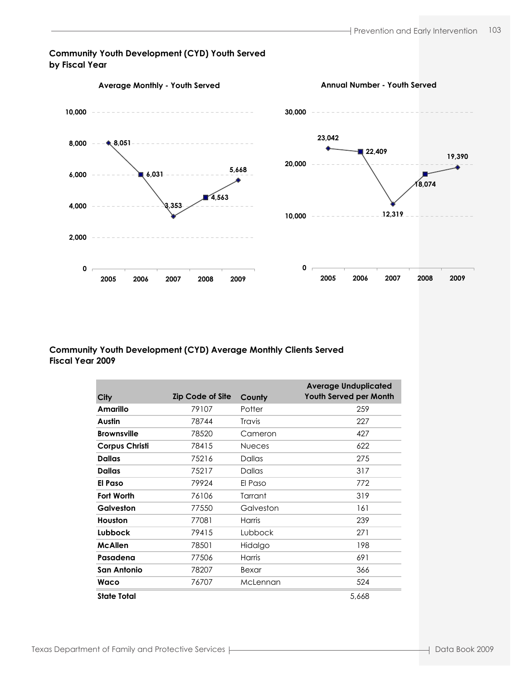### **Community Youth Development (CYD) Youth Served by Fiscal Year**



## **Community Youth Development (CYD) Average Monthly Clients Served Fiscal Year 2009**

|                       |                         |               | <b>Average Unduplicated</b>   |
|-----------------------|-------------------------|---------------|-------------------------------|
| City                  | <b>Zip Code of Site</b> | County        | <b>Youth Served per Month</b> |
| Amarillo              | 79107                   | Potter        | 259                           |
| Austin                | 78744                   | <b>Travis</b> | 227                           |
| <b>Brownsville</b>    | 78520                   | Cameron       | 427                           |
| <b>Corpus Christi</b> | 78415                   | <b>Nueces</b> | 622                           |
| <b>Dallas</b>         | 75216                   | Dallas        | 275                           |
| <b>Dallas</b>         | 75217                   | <b>Dallas</b> | 317                           |
| El Paso               | 79924                   | El Paso       | 772                           |
| <b>Fort Worth</b>     | 76106                   | Tarrant       | 319                           |
| Galveston             | 77550                   | Galveston     | 161                           |
| Houston               | 77081                   | Harris        | 239                           |
| Lubbock               | 79415                   | Lubbock       | 271                           |
| <b>McAllen</b>        | 78501                   | Hidalgo       | 198                           |
| Pasadena              | 77506                   | <b>Harris</b> | 691                           |
| San Antonio           | 78207                   | Bexar         | 366                           |
| Waco                  | 76707                   | McLennan      | 524                           |
| State Total           |                         |               | 5,668                         |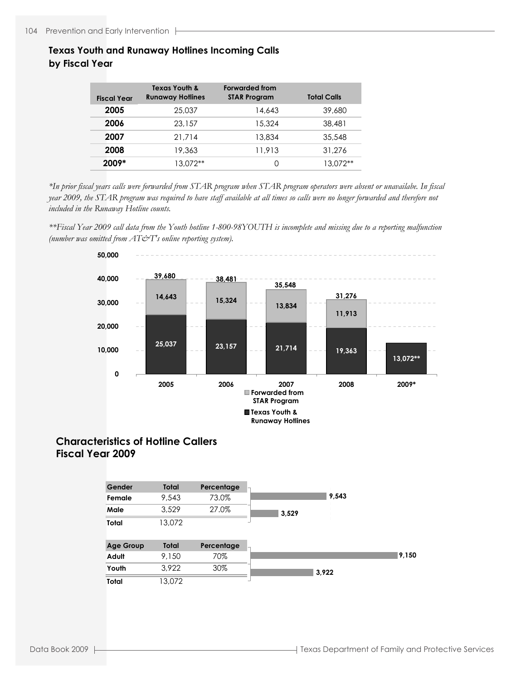# **Texas Youth and Runaway Hotlines Incoming Calls by Fiscal Year**

| <b>Fiscal Year</b> | Texas Youth &<br><b>Runaway Hotlines</b> | <b>Forwarded from</b><br><b>STAR Program</b> | <b>Total Calls</b> |
|--------------------|------------------------------------------|----------------------------------------------|--------------------|
| 2005               | 25,037                                   | 14.643                                       | 39,680             |
| 2006               | 23,157                                   | 15.324                                       | 38.481             |
| 2007               | 21.714                                   | 13,834                                       | 35.548             |
| 2008               | 19,363                                   | 11,913                                       | 31,276             |
| 2009*              | 13.072**                                 | O                                            | $13.072**$         |

*\*In prior fiscal years calls were forwarded from STAR program when STAR program operators were absent or unavailabe. In fiscal year 2009, the STAR program was required to have staff available at all times so calls were no longer forwarded and therefore not included in the Runaway Hotline counts.*

*\*\*Fiscal Year 2009 call data from the Youth hotline 1-800-98YOUTH is incomplete and missing due to a reporting malfunction (number was omitted from AT&T's online reporting system).*



# **Characteristics of Hotline Callers Fiscal Year 2009**

| Gender | Total  | Percentage |       |       |
|--------|--------|------------|-------|-------|
| Female | 9.543  | 73.0%      |       | 9,543 |
| Male   | 3,529  | 27.0%      | 3,529 |       |
| Total  | 13.072 |            |       |       |

| <b>Age Group</b> | Total  | Percentage |       |       |
|------------------|--------|------------|-------|-------|
| Adult            | 9.150  | 70%        |       | 9,150 |
| Youth            | 3.922  | 30%        | 3.922 |       |
| Total            | '3.072 |            |       |       |

4:45 PM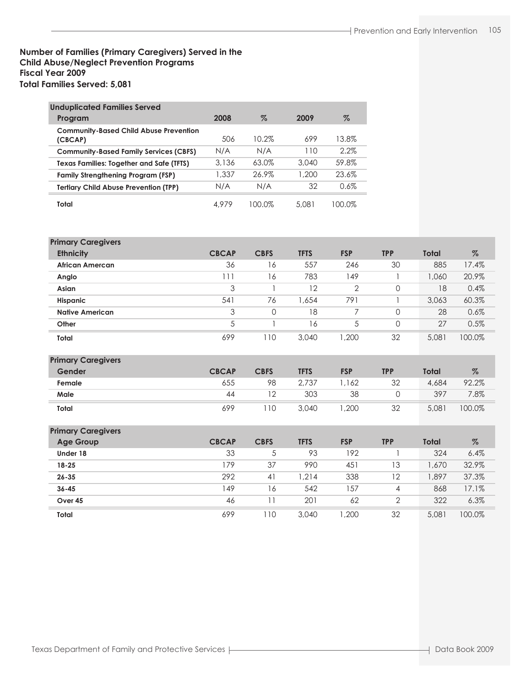## **Number of Families (Primary Caregivers) Served in the Child Abuse/Neglect Prevention Programs Fiscal Year 2009 Total Families Served: 5,081**

| <b>Unduplicated Families Served</b>                      |       |          |       |         |
|----------------------------------------------------------|-------|----------|-------|---------|
| Program                                                  | 2008  | %        | 2009  | %       |
| <b>Community-Based Child Abuse Prevention</b><br>(CBCAP) | 506   | $10.2\%$ | 699   | 13.8%   |
| <b>Community-Based Family Services (CBFS)</b>            | N/A   | N/A      | 110   | $2.2\%$ |
| Texas Families: Together and Safe (TFTS)                 | 3.136 | 63.0%    | 3.040 | 59.8%   |
| <b>Family Strengthening Program (FSP)</b>                | 1,337 | 26.9%    | 1.200 | 23.6%   |
| <b>Terliary Child Abuse Prevention (TPP)</b>             | N/A   | N/A      | 32    | 0.6%    |
| Total                                                    | 4.979 | 100 0%   | 5.081 | 100.0%  |

| <b>Primary Caregivers</b> |              |             |             |                |            |              |        |
|---------------------------|--------------|-------------|-------------|----------------|------------|--------------|--------|
| <b>Ethnicity</b>          | <b>CBCAP</b> | <b>CBFS</b> | <b>TFTS</b> | <b>FSP</b>     | <b>TPP</b> | <b>Total</b> | $\%$   |
| African Amercan           | 36           | 16          | 557         | 246            | 30         | 885          | 17.4%  |
| Anglo                     | 111          | 16          | 783         | 149            |            | 1,060        | 20.9%  |
| Asian                     | 3            |             | 12          | $\overline{2}$ | 0          | 18           | 0.4%   |
| <b>Hispanic</b>           | 541          | 76          | 654. ا      | 791            |            | 3,063        | 60.3%  |
| <b>Native American</b>    | 3            | $\Omega$    | 18          |                | 0          | 28           | 0.6%   |
| Other                     | 5            |             | 16          | 5              | 0          | 27           | 0.5%   |
| <b>Total</b>              | 699          | 10          | 3,040       | 1,200          | 32         | 5,081        | 100.0% |

# **Primary Caregivers**

| --<br>Gender | <b>CBCAP</b> | <b>CBFS</b> | <b>TFTS</b> | <b>FSP</b> | TPP | Total | $\%$   |
|--------------|--------------|-------------|-------------|------------|-----|-------|--------|
| Female       | 655          | 98          | 2,737       | 162        | 32  | 4,684 | 92.2%  |
| Male         | 44           |             | 303         | 38         |     | 397   | 7.8%   |
| Total        | 699          | 10          | 3,040       | ,200       | 32  | 5,081 | 100.0% |

| <b>Primary Caregivers</b> |              |             |             |            |                |       |        |
|---------------------------|--------------|-------------|-------------|------------|----------------|-------|--------|
| <b>Age Group</b>          | <b>CBCAP</b> | <b>CBFS</b> | <b>TFTS</b> | <b>FSP</b> | <b>TPP</b>     | Total | $\%$   |
| Under 18                  | 33           | 5           | 93          | 192        |                | 324   | 6.4%   |
| $18 - 25$                 | 179          | 37          | 990         | 451        | 13             | 1,670 | 32.9%  |
| $26 - 35$                 | 292          | 41          | 1.214       | 338        | 12             | 1,897 | 37.3%  |
| $36 - 45$                 | 149          | 16          | 542         | 157        | $\overline{4}$ | 868   | 17.1%  |
| Over 45                   | 46           | 11          | 201         | 62         | $\overline{2}$ | 322   | 6.3%   |
| Total                     | 699          | 10          | 3,040       | ,200       | 32             | 5,081 | 100.0% |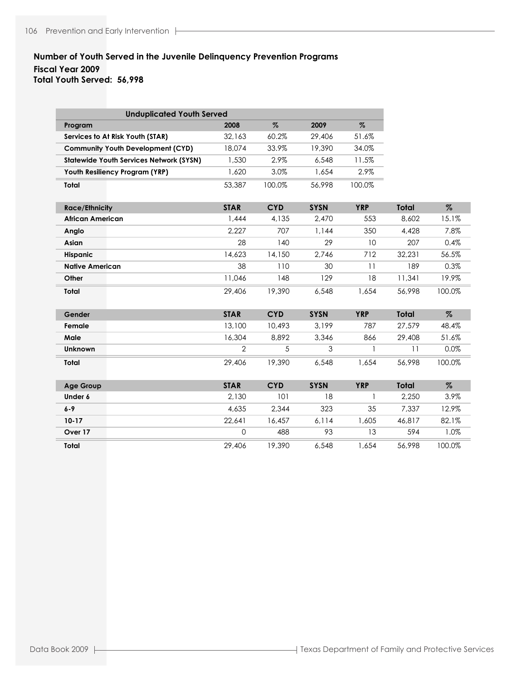# **Number of Youth Served in the Juvenile Delinquency Prevention Programs Fiscal Year 2009 Total Youth Served: 56,998**

| <b>Unduplicated Youth Served</b>               |                |            |             |            |              |        |
|------------------------------------------------|----------------|------------|-------------|------------|--------------|--------|
| Program                                        | 2008           | $\%$       | 2009        | $\%$       |              |        |
| Services to At Risk Youth (STAR)               | 32,163         | 60.2%      | 29,406      | 51.6%      |              |        |
| <b>Community Youth Development (CYD)</b>       | 18,074         | 33.9%      | 19,390      | 34.0%      |              |        |
| <b>Statewide Youth Services Network (SYSN)</b> | 1,530          | 2.9%       | 6,548       | 11.5%      |              |        |
| Youth Resiliency Program (YRP)                 | 1,620          | 3.0%       | 1,654       | 2.9%       |              |        |
| Total                                          | 53,387         | 100.0%     | 56,998      | 100.0%     |              |        |
| <b>Race/Ethnicity</b>                          | <b>STAR</b>    | <b>CYD</b> | <b>SYSN</b> | <b>YRP</b> | Total        | $\%$   |
| <b>African American</b>                        | 1.444          | 4.135      | 2.470       | 553        | 8,602        | 15.1%  |
| Anglo                                          | 2,227          | 707        | 1,144       | 350        | 4,428        | 7.8%   |
| Asian                                          | 28             | 140        | 29          | 10         | 207          | 0.4%   |
| Hispanic                                       | 14,623         | 14,150     | 2,746       | 712        | 32,231       | 56.5%  |
| <b>Native American</b>                         | 38             | 110        | 30          | 11         | 189          | 0.3%   |
| Other                                          | 11,046         | 148        | 129         | 18         | 11,341       | 19.9%  |
| Total                                          | 29,406         | 19,390     | 6,548       | 1,654      | 56,998       | 100.0% |
| Gender                                         | <b>STAR</b>    | <b>CYD</b> | <b>SYSN</b> | <b>YRP</b> | <b>Total</b> | $\%$   |
| Female                                         | 13,100         | 10,493     | 3,199       | 787        | 27,579       | 48.4%  |
| Male                                           | 16,304         | 8,892      | 3,346       | 866        | 29,408       | 51.6%  |
| <b>Unknown</b>                                 | $\overline{2}$ | 5          | 3           | 1          | 11           | 0.0%   |
| Total                                          | 29,406         | 19,390     | 6,548       | 1.654      | 56,998       | 100.0% |
| <b>Age Group</b>                               | <b>STAR</b>    | <b>CYD</b> | <b>SYSN</b> | <b>YRP</b> | Total        | $\%$   |
| Under 6                                        | 2,130          | 101        | 18          | 1          | 2,250        | 3.9%   |
| $6 - 9$                                        | 4.635          | 2.344      | 323         | 35         | 7.337        | 12.9%  |
| $10 - 17$                                      | 22,641         | 16,457     | 6,114       | 1,605      | 46,817       | 82.1%  |
| Over 17                                        | $\mathbf 0$    | 488        | 93          | 13         | 594          | 1.0%   |
| Total                                          | 29,406         | 19,390     | 6,548       | 1.654      | 56,998       | 100.0% |